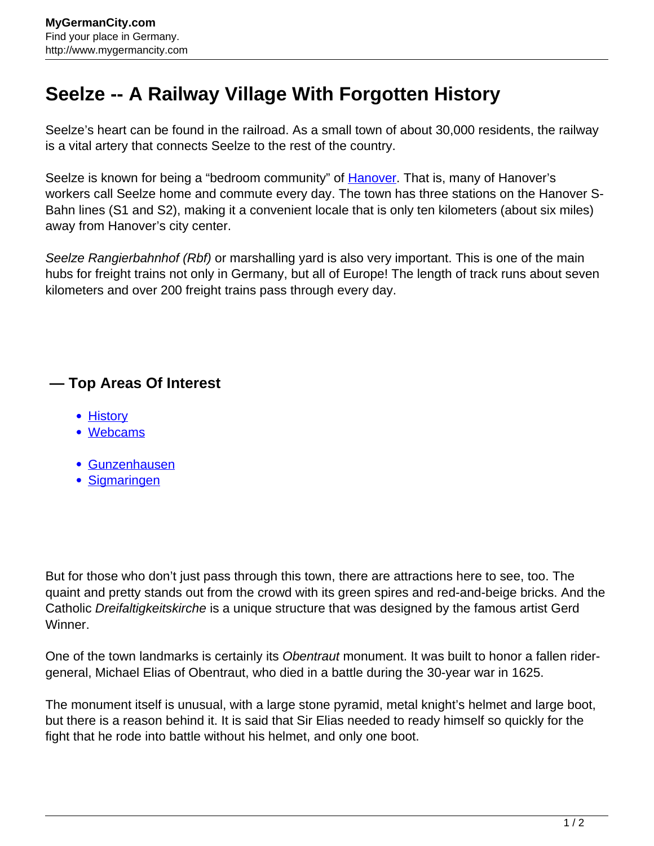## **Seelze -- A Railway Village With Forgotten History**

Seelze's heart can be found in the railroad. As a small town of about 30,000 residents, the railway is a vital artery that connects Seelze to the rest of the country.

Seelze is known for being a "bedroom community" of [Hanover](http://www.mygermancity.com/hanover). That is, many of Hanover's workers call Seelze home and commute every day. The town has three stations on the Hanover S-Bahn lines (S1 and S2), making it a convenient locale that is only ten kilometers (about six miles) away from Hanover's city center.

Seelze Rangierbahnhof (Rbf) or marshalling yard is also very important. This is one of the main hubs for freight trains not only in Germany, but all of Europe! The length of track runs about seven kilometers and over 200 freight trains pass through every day.

## **— Top Areas Of Interest**

- **[History](http://www.mygermancity.com/leipzig-history)**
- [Webcams](http://www.mygermancity.com/neustadt-holstein-webcams)
- [Gunzenhausen](http://www.mygermancity.com/gunzenhausen)
- [Sigmaringen](http://www.mygermancity.com/sigmaringen)

But for those who don't just pass through this town, there are attractions here to see, too. The quaint and pretty stands out from the crowd with its green spires and red-and-beige bricks. And the Catholic Dreifaltigkeitskirche is a unique structure that was designed by the famous artist Gerd Winner.

One of the town landmarks is certainly its Obentraut monument. It was built to honor a fallen ridergeneral, Michael Elias of Obentraut, who died in a battle during the 30-year war in 1625.

The monument itself is unusual, with a large stone pyramid, metal knight's helmet and large boot, but there is a reason behind it. It is said that Sir Elias needed to ready himself so quickly for the fight that he rode into battle without his helmet, and only one boot.